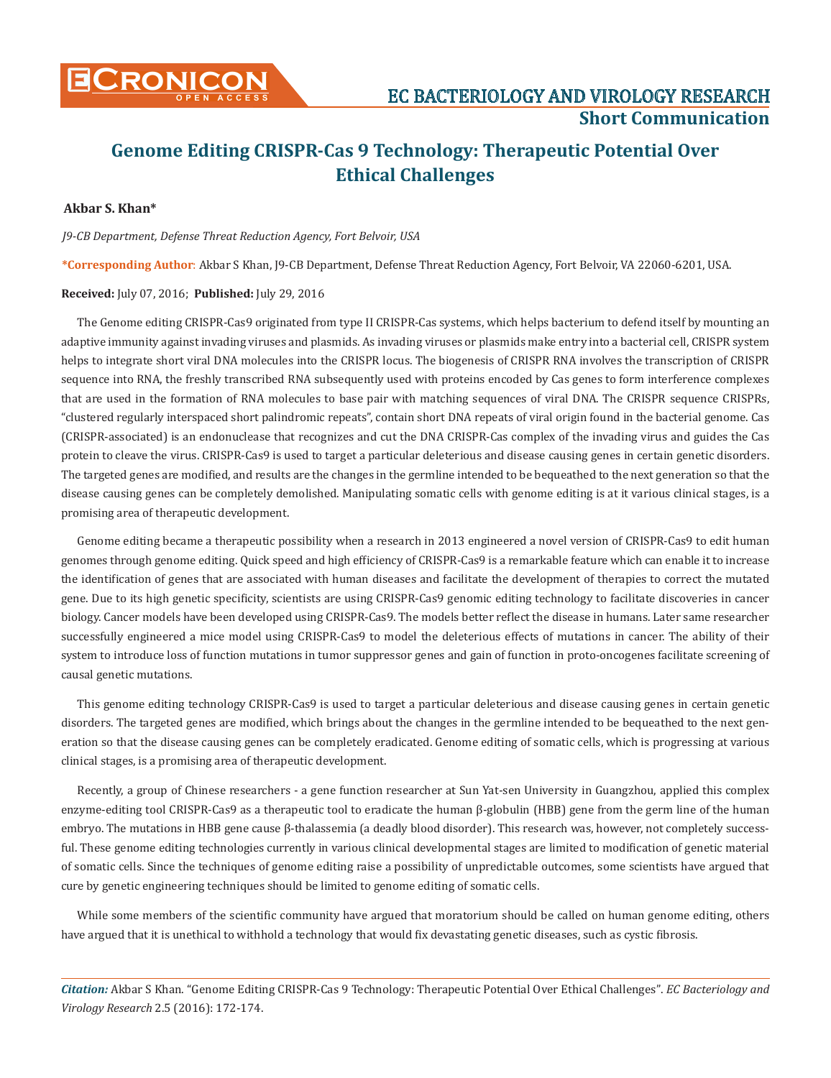**CRONICON EC BACTERIOLOGY AND VIROLOGY RESEARCH** 

**Short Communication**

# **Genome Editing CRISPR-Cas 9 Technology: Therapeutic Potential Over Ethical Challenges**

### **Akbar S. Khan\***

*J9-CB Department, Defense Threat Reduction Agency, Fort Belvoir, USA* 

**\*Corresponding Author**: Akbar S Khan, J9-CB Department, Defense Threat Reduction Agency, Fort Belvoir, VA 22060-6201, USA.

#### **Received:** July 07, 2016; **Published:** July 29, 2016

The Genome editing CRISPR-Cas9 originated from type II CRISPR-Cas systems, which helps bacterium to defend itself by mounting an adaptive immunity against invading viruses and plasmids. As invading viruses or plasmids make entry into a bacterial cell, CRISPR system helps to integrate short viral DNA molecules into the CRISPR locus. The biogenesis of CRISPR RNA involves the transcription of CRISPR sequence into RNA, the freshly transcribed RNA subsequently used with proteins encoded by Cas genes to form interference complexes that are used in the formation of RNA molecules to base pair with matching sequences of viral DNA. The CRISPR sequence CRISPRs, "clustered regularly interspaced short palindromic repeats", contain short DNA repeats of viral origin found in the bacterial genome. Cas (CRISPR-associated) is an endonuclease that recognizes and cut the DNA CRISPR-Cas complex of the invading virus and guides the Cas protein to cleave the virus. CRISPR-Cas9 is used to target a particular deleterious and disease causing genes in certain genetic disorders. The targeted genes are modified, and results are the changes in the germline intended to be bequeathed to the next generation so that the disease causing genes can be completely demolished. Manipulating somatic cells with genome editing is at it various clinical stages, is a promising area of therapeutic development.

Genome editing became a therapeutic possibility when a research in 2013 engineered a novel version of CRISPR-Cas9 to edit human genomes through genome editing. Quick speed and high efficiency of CRISPR-Cas9 is a remarkable feature which can enable it to increase the identification of genes that are associated with human diseases and facilitate the development of therapies to correct the mutated gene. Due to its high genetic specificity, scientists are using CRISPR-Cas9 genomic editing technology to facilitate discoveries in cancer biology. Cancer models have been developed using CRISPR-Cas9. The models better reflect the disease in humans. Later same researcher successfully engineered a mice model using CRISPR-Cas9 to model the deleterious effects of mutations in cancer. The ability of their system to introduce loss of function mutations in tumor suppressor genes and gain of function in proto-oncogenes facilitate screening of causal genetic mutations.

This genome editing technology CRISPR-Cas9 is used to target a particular deleterious and disease causing genes in certain genetic disorders. The targeted genes are modified, which brings about the changes in the germline intended to be bequeathed to the next generation so that the disease causing genes can be completely eradicated. Genome editing of somatic cells, which is progressing at various clinical stages, is a promising area of therapeutic development.

Recently, a group of Chinese researchers - a gene function researcher at Sun Yat-sen University in Guangzhou, applied this complex enzyme-editing tool CRISPR-Cas9 as a therapeutic tool to eradicate the human β-globulin (HBB) gene from the germ line of the human embryo. The mutations in HBB gene cause β-thalassemia (a deadly blood disorder). This research was, however, not completely successful. These genome editing technologies currently in various clinical developmental stages are limited to modification of genetic material of somatic cells. Since the techniques of genome editing raise a possibility of unpredictable outcomes, some scientists have argued that cure by genetic engineering techniques should be limited to genome editing of somatic cells.

While some members of the scientific community have argued that moratorium should be called on human genome editing, others have argued that it is unethical to withhold a technology that would fix devastating genetic diseases, such as cystic fibrosis.

*Citation:* Akbar S Khan. "Genome Editing CRISPR-Cas 9 Technology: Therapeutic Potential Over Ethical Challenges". *EC Bacteriology and Virology Research* 2.5 (2016): 172-174.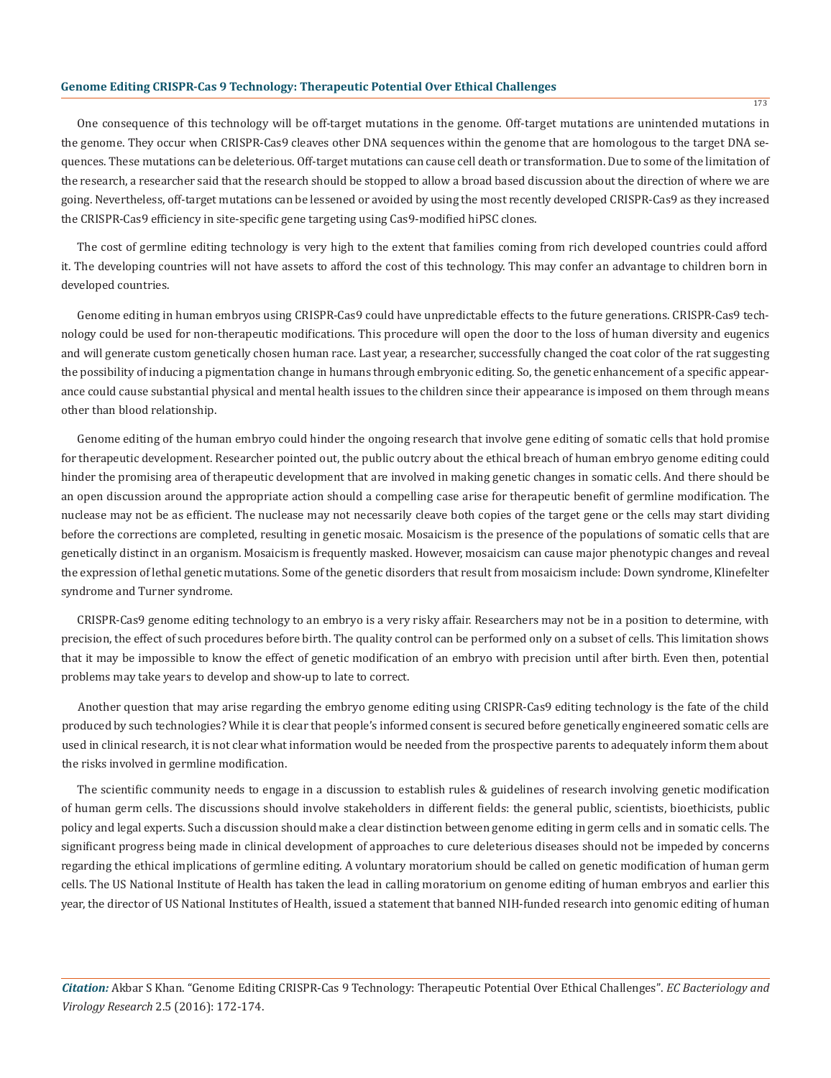## **Genome Editing CRISPR-Cas 9 Technology: Therapeutic Potential Over Ethical Challenges**

One consequence of this technology will be off-target mutations in the genome. Off-target mutations are unintended mutations in the genome. They occur when CRISPR-Cas9 cleaves other DNA sequences within the genome that are homologous to the target DNA sequences. These mutations can be deleterious. Off-target mutations can cause cell death or transformation. Due to some of the limitation of the research, a researcher said that the research should be stopped to allow a broad based discussion about the direction of where we are going. Nevertheless, off-target mutations can be lessened or avoided by using the most recently developed CRISPR-Cas9 as they increased the CRISPR-Cas9 efficiency in site-specific gene targeting using Cas9-modified hiPSC clones.

The cost of germline editing technology is very high to the extent that families coming from rich developed countries could afford it. The developing countries will not have assets to afford the cost of this technology. This may confer an advantage to children born in developed countries.

Genome editing in human embryos using CRISPR-Cas9 could have unpredictable effects to the future generations. CRISPR-Cas9 technology could be used for non-therapeutic modifications. This procedure will open the door to the loss of human diversity and eugenics and will generate custom genetically chosen human race. Last year, a researcher, successfully changed the coat color of the rat suggesting the possibility of inducing a pigmentation change in humans through embryonic editing. So, the genetic enhancement of a specific appearance could cause substantial physical and mental health issues to the children since their appearance is imposed on them through means other than blood relationship.

Genome editing of the human embryo could hinder the ongoing research that involve gene editing of somatic cells that hold promise for therapeutic development. Researcher pointed out, the public outcry about the ethical breach of human embryo genome editing could hinder the promising area of therapeutic development that are involved in making genetic changes in somatic cells. And there should be an open discussion around the appropriate action should a compelling case arise for therapeutic benefit of germline modification. The nuclease may not be as efficient. The nuclease may not necessarily cleave both copies of the target gene or the cells may start dividing before the corrections are completed, resulting in genetic mosaic. Mosaicism is the presence of the populations of somatic cells that are genetically distinct in an organism. Mosaicism is frequently masked. However, mosaicism can cause major phenotypic changes and reveal the expression of lethal genetic mutations. Some of the genetic disorders that result from mosaicism include: Down syndrome, Klinefelter syndrome and Turner syndrome.

CRISPR-Cas9 genome editing technology to an embryo is a very risky affair. Researchers may not be in a position to determine, with precision, the effect of such procedures before birth. The quality control can be performed only on a subset of cells. This limitation shows that it may be impossible to know the effect of genetic modification of an embryo with precision until after birth. Even then, potential problems may take years to develop and show-up to late to correct.

Another question that may arise regarding the embryo genome editing using CRISPR-Cas9 editing technology is the fate of the child produced by such technologies? While it is clear that people's informed consent is secured before genetically engineered somatic cells are used in clinical research, it is not clear what information would be needed from the prospective parents to adequately inform them about the risks involved in germline modification.

The scientific community needs to engage in a discussion to establish rules & guidelines of research involving genetic modification of human germ cells. The discussions should involve stakeholders in different fields: the general public, scientists, bioethicists, public policy and legal experts. Such a discussion should make a clear distinction between genome editing in germ cells and in somatic cells. The significant progress being made in clinical development of approaches to cure deleterious diseases should not be impeded by concerns regarding the ethical implications of germline editing. A voluntary moratorium should be called on genetic modification of human germ cells. The US National Institute of Health has taken the lead in calling moratorium on genome editing of human embryos and earlier this year, the director of US National Institutes of Health, issued a statement that banned NIH-funded research into genomic editing of human

*Citation:* Akbar S Khan. "Genome Editing CRISPR-Cas 9 Technology: Therapeutic Potential Over Ethical Challenges". *EC Bacteriology and Virology Research* 2.5 (2016): 172-174.

173